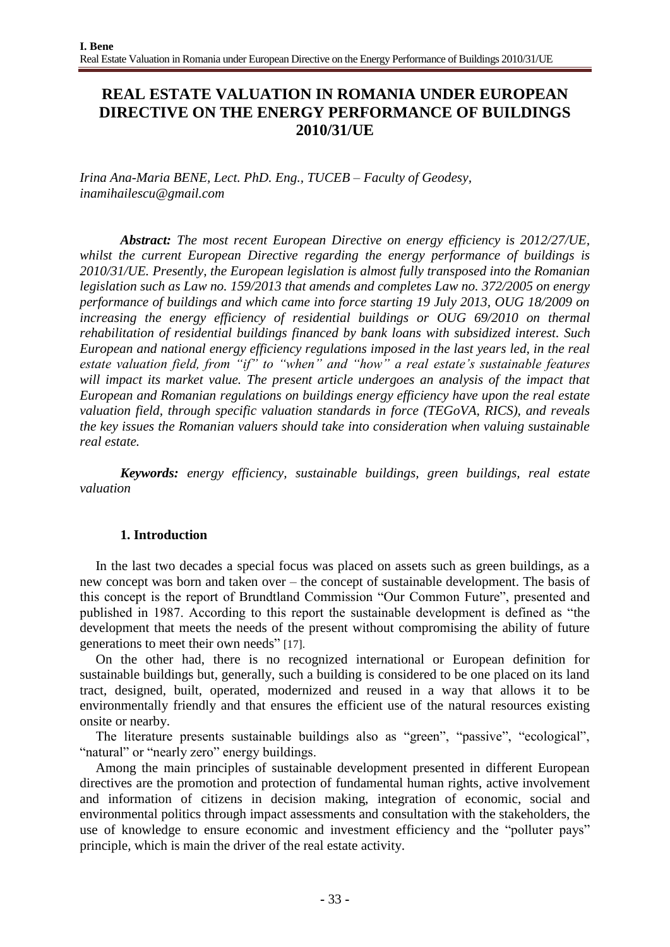# **REAL ESTATE VALUATION IN ROMANIA UNDER EUROPEAN DIRECTIVE ON THE ENERGY PERFORMANCE OF BUILDINGS 2010/31/UE**

*Irina Ana-Maria BENE, Lect. PhD. Eng., TUCEB – Faculty of Geodesy, [inamihailescu@gmail.com](mailto:inamihailescu@gmail.com)*

*Abstract: The most recent European Directive on energy efficiency is 2012/27/UE, whilst the current European Directive regarding the energy performance of buildings is 2010/31/UE. Presently, the European legislation is almost fully transposed into the Romanian legislation such as Law no. 159/2013 that amends and completes Law no. 372/2005 on energy performance of buildings and which came into force starting 19 July 2013, OUG 18/2009 on increasing the energy efficiency of residential buildings or OUG 69/2010 on thermal rehabilitation of residential buildings financed by bank loans with subsidized interest. Such European and national energy efficiency regulations imposed in the last years led, in the real estate valuation field, from "if" to "when" and "how" a real estate's sustainable features*  will impact its market value. The present article undergoes an analysis of the impact that *European and Romanian regulations on buildings energy efficiency have upon the real estate valuation field, through specific valuation standards in force (TEGoVA, RICS), and reveals the key issues the Romanian valuers should take into consideration when valuing sustainable real estate.* 

*Keywords: energy efficiency, sustainable buildings, green buildings, real estate valuation*

## **1. Introduction**

In the last two decades a special focus was placed on assets such as green buildings, as a new concept was born and taken over – the concept of sustainable development. The basis of this concept is the report of Brundtland Commission "Our Common Future", presented and published in 1987. According to this report the sustainable development is defined as "the development that meets the needs of the present without compromising the ability of future generations to meet their own needs" [17].

On the other had, there is no recognized international or European definition for sustainable buildings but, generally, such a building is considered to be one placed on its land tract, designed, built, operated, modernized and reused in a way that allows it to be environmentally friendly and that ensures the efficient use of the natural resources existing onsite or nearby.

The literature presents sustainable buildings also as "green", "passive", "ecological", "natural" or "nearly zero" energy buildings.

Among the main principles of sustainable development presented in different European directives are the promotion and protection of fundamental human rights, active involvement and information of citizens in decision making, integration of economic, social and environmental politics through impact assessments and consultation with the stakeholders, the use of knowledge to ensure economic and investment efficiency and the "polluter pays" principle, which is main the driver of the real estate activity.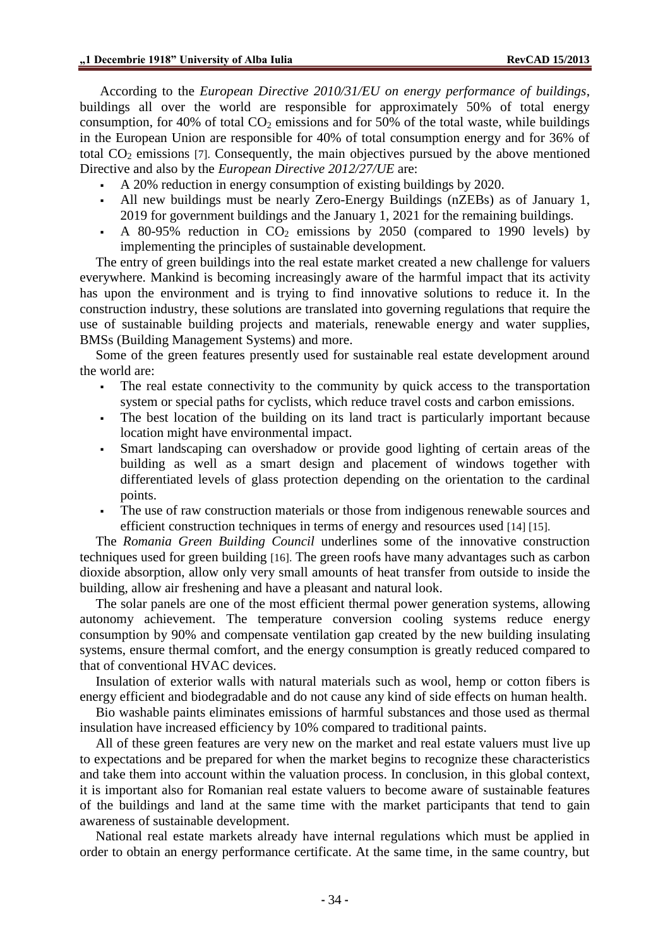According to the *European Directive 2010/31/EU on energy performance of buildings*, buildings all over the world are responsible for approximately 50% of total energy consumption, for 40% of total  $CO<sub>2</sub>$  emissions and for 50% of the total waste, while buildings in the European Union are responsible for 40% of total consumption energy and for 36% of total  $CO<sub>2</sub>$  emissions [7]. Consequently, the main objectives pursued by the above mentioned Directive and also by the *European Directive 2012/27/UE* are:

- A 20% reduction in energy consumption of existing buildings by 2020.
- All new buildings must be nearly Zero-Energy Buildings (nZEBs) as of January 1, 2019 for government buildings and the January 1, 2021 for the remaining buildings.
- A 80-95% reduction in  $CO<sub>2</sub>$  emissions by 2050 (compared to 1990 levels) by implementing the principles of sustainable development.

The entry of green buildings into the real estate market created a new challenge for valuers everywhere. Mankind is becoming increasingly aware of the harmful impact that its activity has upon the environment and is trying to find innovative solutions to reduce it. In the construction industry, these solutions are translated into governing regulations that require the use of sustainable building projects and materials, renewable energy and water supplies, BMSs (Building Management Systems) and more.

Some of the green features presently used for sustainable real estate development around the world are:

- The real estate connectivity to the community by quick access to the transportation system or special paths for cyclists, which reduce travel costs and carbon emissions.
- The best location of the building on its land tract is particularly important because location might have environmental impact.
- Smart landscaping can overshadow or provide good lighting of certain areas of the building as well as a smart design and placement of windows together with differentiated levels of glass protection depending on the orientation to the cardinal points.
- The use of raw construction materials or those from indigenous renewable sources and efficient construction techniques in terms of energy and resources used [14] [15].

The *Romania Green Building Council* underlines some of the innovative construction techniques used for green building [16]. The green roofs have many advantages such as carbon dioxide absorption, allow only very small amounts of heat transfer from outside to inside the building, allow air freshening and have a pleasant and natural look.

The solar panels are one of the most efficient thermal power generation systems, allowing autonomy achievement. The temperature conversion cooling systems reduce energy consumption by 90% and compensate ventilation gap created by the new building insulating systems, ensure thermal comfort, and the energy consumption is greatly reduced compared to that of conventional HVAC devices.

Insulation of exterior walls with natural materials such as wool, hemp or cotton fibers is energy efficient and biodegradable and do not cause any kind of side effects on human health.

Bio washable paints eliminates emissions of harmful substances and those used as thermal insulation have increased efficiency by 10% compared to traditional paints.

All of these green features are very new on the market and real estate valuers must live up to expectations and be prepared for when the market begins to recognize these characteristics and take them into account within the valuation process. In conclusion, in this global context, it is important also for Romanian real estate valuers to become aware of sustainable features of the buildings and land at the same time with the market participants that tend to gain awareness of sustainable development.

National real estate markets already have internal regulations which must be applied in order to obtain an energy performance certificate. At the same time, in the same country, but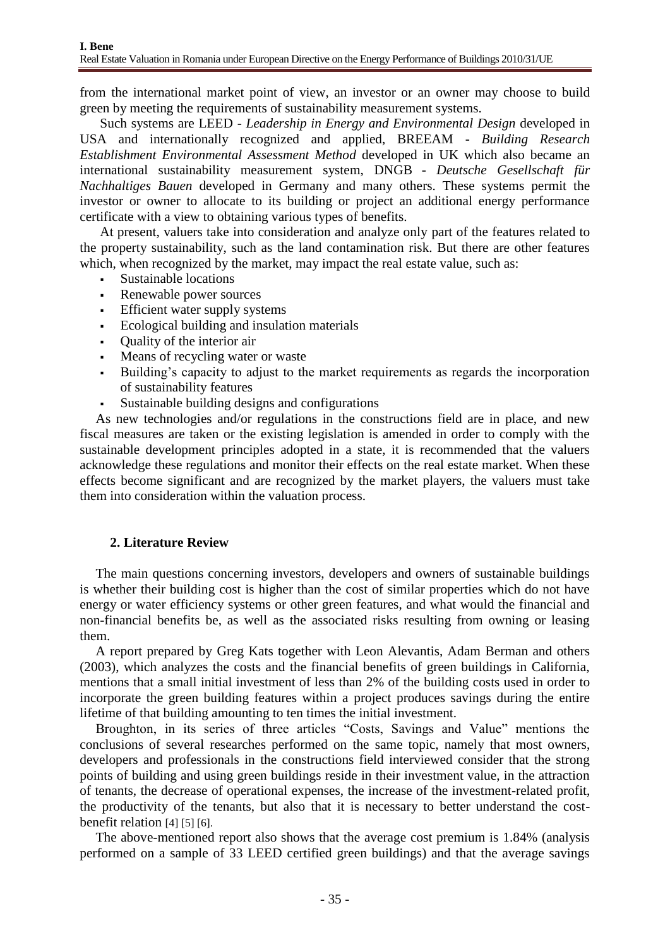from the international market point of view, an investor or an owner may choose to build green by meeting the requirements of sustainability measurement systems.

Such systems are LEED - *Leadership in Energy and Environmental Design* developed in USA and internationally recognized and applied, BREEAM - *Building Research Establishment Environmental Assessment Method* developed in UK which also became an international sustainability measurement system, DNGB - *Deutsche Gesellschaft für Nachhaltiges Bauen* developed in Germany and many others. These systems permit the investor or owner to allocate to its building or project an additional energy performance certificate with a view to obtaining various types of benefits.

At present, valuers take into consideration and analyze only part of the features related to the property sustainability, such as the land contamination risk. But there are other features which, when recognized by the market, may impact the real estate value, such as:

- Sustainable locations
- Renewable power sources
- **Efficient water supply systems**
- Ecological building and insulation materials
- Quality of the interior air
- Means of recycling water or waste
- Building's capacity to adjust to the market requirements as regards the incorporation of sustainability features
- Sustainable building designs and configurations

As new technologies and/or regulations in the constructions field are in place, and new fiscal measures are taken or the existing legislation is amended in order to comply with the sustainable development principles adopted in a state, it is recommended that the valuers acknowledge these regulations and monitor their effects on the real estate market. When these effects become significant and are recognized by the market players, the valuers must take them into consideration within the valuation process.

## **2. Literature Review**

The main questions concerning investors, developers and owners of sustainable buildings is whether their building cost is higher than the cost of similar properties which do not have energy or water efficiency systems or other green features, and what would the financial and non-financial benefits be, as well as the associated risks resulting from owning or leasing them.

A report prepared by Greg Kats together with Leon Alevantis, Adam Berman and others (2003), which analyzes the costs and the financial benefits of green buildings in California, mentions that a small initial investment of less than 2% of the building costs used in order to incorporate the green building features within a project produces savings during the entire lifetime of that building amounting to ten times the initial investment.

Broughton, in its series of three articles "Costs, Savings and Value" mentions the conclusions of several researches performed on the same topic, namely that most owners, developers and professionals in the constructions field interviewed consider that the strong points of building and using green buildings reside in their investment value, in the attraction of tenants, the decrease of operational expenses, the increase of the investment-related profit, the productivity of the tenants, but also that it is necessary to better understand the costbenefit relation [4] [5] [6].

The above-mentioned report also shows that the average cost premium is 1.84% (analysis performed on a sample of 33 LEED certified green buildings) and that the average savings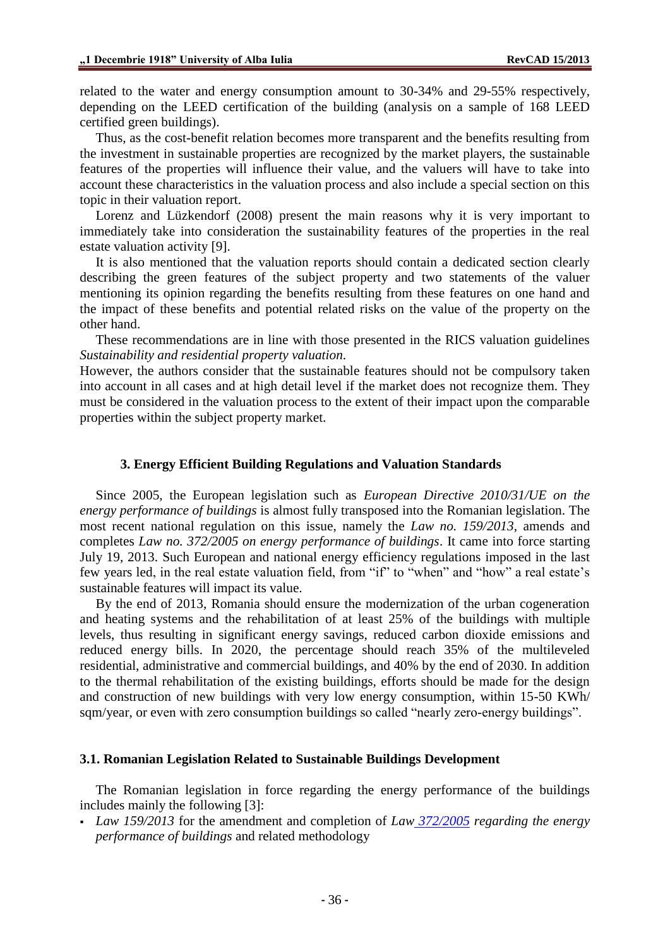related to the water and energy consumption amount to 30-34% and 29-55% respectively, depending on the LEED certification of the building (analysis on a sample of 168 LEED certified green buildings).

Thus, as the cost-benefit relation becomes more transparent and the benefits resulting from the investment in sustainable properties are recognized by the market players, the sustainable features of the properties will influence their value, and the valuers will have to take into account these characteristics in the valuation process and also include a special section on this topic in their valuation report.

Lorenz and Lüzkendorf (2008) present the main reasons why it is very important to immediately take into consideration the sustainability features of the properties in the real estate valuation activity [9].

It is also mentioned that the valuation reports should contain a dedicated section clearly describing the green features of the subject property and two statements of the valuer mentioning its opinion regarding the benefits resulting from these features on one hand and the impact of these benefits and potential related risks on the value of the property on the other hand.

These recommendations are in line with those presented in the RICS valuation guidelines *Sustainability and residential property valuation.*

However, the authors consider that the sustainable features should not be compulsory taken into account in all cases and at high detail level if the market does not recognize them. They must be considered in the valuation process to the extent of their impact upon the comparable properties within the subject property market.

#### **3. Energy Efficient Building Regulations and Valuation Standards**

Since 2005, the European legislation such as *European Directive 2010/31/UE on the energy performance of buildings* is almost fully transposed into the Romanian legislation. The most recent national regulation on this issue, namely the *Law no. 159/2013*, amends and completes *Law no. 372/2005 on energy performance of buildings*. It came into force starting July 19, 2013. Such European and national energy efficiency regulations imposed in the last few years led, in the real estate valuation field, from "if" to "when" and "how" a real estate's sustainable features will impact its value.

By the end of 2013, Romania should ensure the modernization of the urban cogeneration and heating systems and the rehabilitation of at least 25% of the buildings with multiple levels, thus resulting in significant energy savings, reduced carbon dioxide emissions and reduced energy bills. In 2020, the percentage should reach 35% of the multileveled residential, administrative and commercial buildings, and 40% by the end of 2030. In addition to the thermal rehabilitation of the existing buildings, efforts should be made for the design and construction of new buildings with very low energy consumption, within 15-50 KWh/ sqm/year, or even with zero consumption buildings so called "nearly zero-energy buildings".

#### **3.1. Romanian Legislation Related to Sustainable Buildings Development**

The Romanian legislation in force regarding the energy performance of the buildings includes mainly the following [3]:

 *Law 159/2013* for the amendment and completion of *Law [372/2005](http://luiza.manolea.ro/blog/legislatie/legea-3722005-performanta-energetica-a-cladirilor/) regarding the energy performance of buildings* and related methodology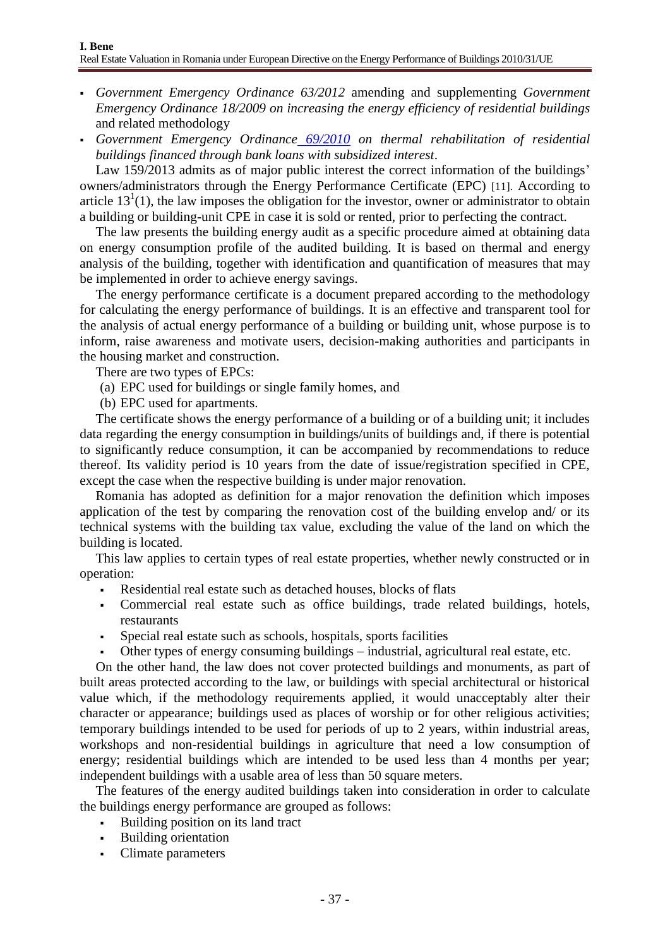- *Government Emergency Ordinance 63/2012* amending and supplementing *Government Emergency Ordinance 18/2009 on increasing the energy efficiency of residential buildings* and related methodology
- *Government Emergency Ordinance [69/2010](http://luiza.manolea.ro/blog/legislatie/oug-692010-reabilitare-cu-credite/) on thermal rehabilitation of residential buildings financed through bank loans with subsidized interest*.

Law 159/2013 admits as of major public interest the correct information of the buildings' owners/administrators through the Energy Performance Certificate (EPC) [11]. According to article  $13<sup>1</sup>(1)$ , the law imposes the obligation for the investor, owner or administrator to obtain a building or building-unit CPE in case it is sold or rented, prior to perfecting the contract.

The law presents the building energy audit as a specific procedure aimed at obtaining data on energy consumption profile of the audited building. It is based on thermal and energy analysis of the building, together with identification and quantification of measures that may be implemented in order to achieve energy savings.

The energy performance certificate is a document prepared according to the methodology for calculating the energy performance of buildings. It is an effective and transparent tool for the analysis of actual energy performance of a building or building unit, whose purpose is to inform, raise awareness and motivate users, decision-making authorities and participants in the housing market and construction.

There are two types of EPCs:

(a) EPC used for buildings or single family homes, and

(b) EPC used for apartments.

The certificate shows the energy performance of a building or of a building unit; it includes data regarding the energy consumption in buildings/units of buildings and, if there is potential to significantly reduce consumption, it can be accompanied by recommendations to reduce thereof. Its validity period is 10 years from the date of issue/registration specified in CPE, except the case when the respective building is under major renovation.

Romania has adopted as definition for a major renovation the definition which imposes application of the test by comparing the renovation cost of the building envelop and/ or its technical systems with the building tax value, excluding the value of the land on which the building is located.

This law applies to certain types of real estate properties, whether newly constructed or in operation:

- Residential real estate such as detached houses, blocks of flats
- Commercial real estate such as office buildings, trade related buildings, hotels, restaurants
- Special real estate such as schools, hospitals, sports facilities
- Other types of energy consuming buildings industrial, agricultural real estate, etc.

On the other hand, the law does not cover protected buildings and monuments, as part of built areas protected according to the law, or buildings with special architectural or historical value which, if the methodology requirements applied, it would unacceptably alter their character or appearance; buildings used as places of worship or for other religious activities; temporary buildings intended to be used for periods of up to 2 years, within industrial areas, workshops and non-residential buildings in agriculture that need a low consumption of energy; residential buildings which are intended to be used less than 4 months per year; independent buildings with a usable area of less than 50 square meters.

The features of the energy audited buildings taken into consideration in order to calculate the buildings energy performance are grouped as follows:

- Building position on its land tract
- Building orientation
- Climate parameters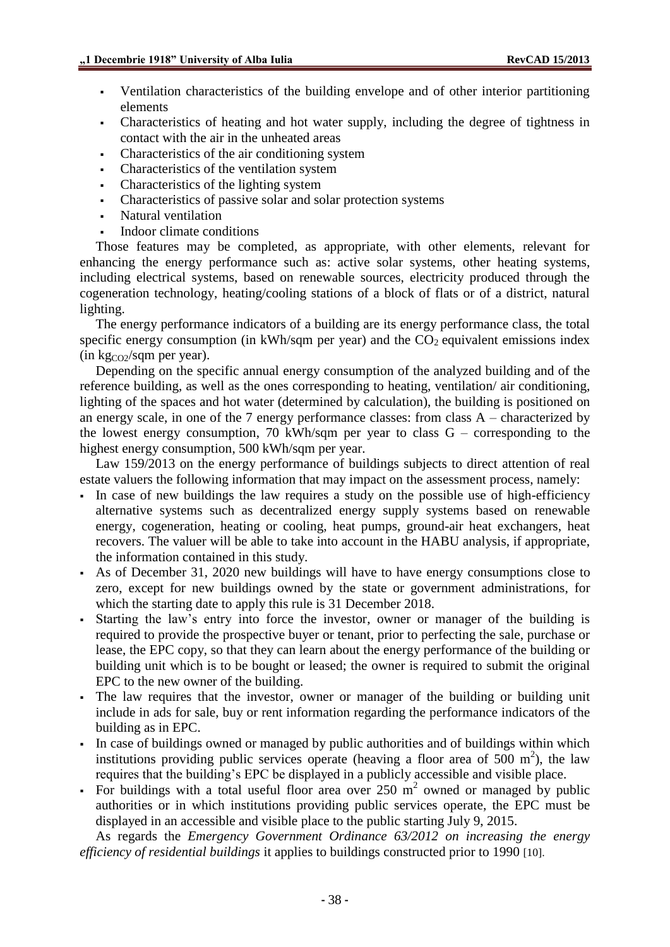- Ventilation characteristics of the building envelope and of other interior partitioning elements
- Characteristics of heating and hot water supply, including the degree of tightness in contact with the air in the unheated areas
- Characteristics of the air conditioning system
- Characteristics of the ventilation system
- Characteristics of the lighting system
- Characteristics of passive solar and solar protection systems
- Natural ventilation
- Indoor climate conditions

Those features may be completed, as appropriate, with other elements, relevant for enhancing the energy performance such as: active solar systems, other heating systems, including electrical systems, based on renewable sources, electricity produced through the cogeneration technology, heating/cooling stations of a block of flats or of a district, natural lighting.

The energy performance indicators of a building are its energy performance class, the total specific energy consumption (in kWh/sqm per year) and the  $CO<sub>2</sub>$  equivalent emissions index  $(in \, \text{kg}_{CO2}/\text{sgm} \text{ per year}).$ 

Depending on the specific annual energy consumption of the analyzed building and of the reference building, as well as the ones corresponding to heating, ventilation/ air conditioning, lighting of the spaces and hot water (determined by calculation), the building is positioned on an energy scale, in one of the 7 energy performance classes: from class A – characterized by the lowest energy consumption, 70 kWh/sqm per year to class G – corresponding to the highest energy consumption, 500 kWh/sqm per year.

Law 159/2013 on the energy performance of buildings subjects to direct attention of real estate valuers the following information that may impact on the assessment process, namely:

- In case of new buildings the law requires a study on the possible use of high-efficiency alternative systems such as decentralized energy supply systems based on renewable energy, cogeneration, heating or cooling, heat pumps, ground-air heat exchangers, heat recovers. The valuer will be able to take into account in the HABU analysis, if appropriate, the information contained in this study.
- As of December 31, 2020 new buildings will have to have energy consumptions close to zero, except for new buildings owned by the state or government administrations, for which the starting date to apply this rule is 31 December 2018.
- Starting the law's entry into force the investor, owner or manager of the building is required to provide the prospective buyer or tenant, prior to perfecting the sale, purchase or lease, the EPC copy, so that they can learn about the energy performance of the building or building unit which is to be bought or leased; the owner is required to submit the original EPC to the new owner of the building.
- The law requires that the investor, owner or manager of the building or building unit include in ads for sale, buy or rent information regarding the performance indicators of the building as in EPC.
- In case of buildings owned or managed by public authorities and of buildings within which institutions providing public services operate (heaving a floor area of  $500 \text{ m}^2$ ), the law requires that the building's EPC be displayed in a publicly accessible and visible place.
- For buildings with a total useful floor area over  $250 \text{ m}^2$  owned or managed by public authorities or in which institutions providing public services operate, the EPC must be displayed in an accessible and visible place to the public starting July 9, 2015.

As regards the *Emergency Government Ordinance 63/2012 on increasing the energy efficiency of residential buildings* it applies to buildings constructed prior to 1990 [10].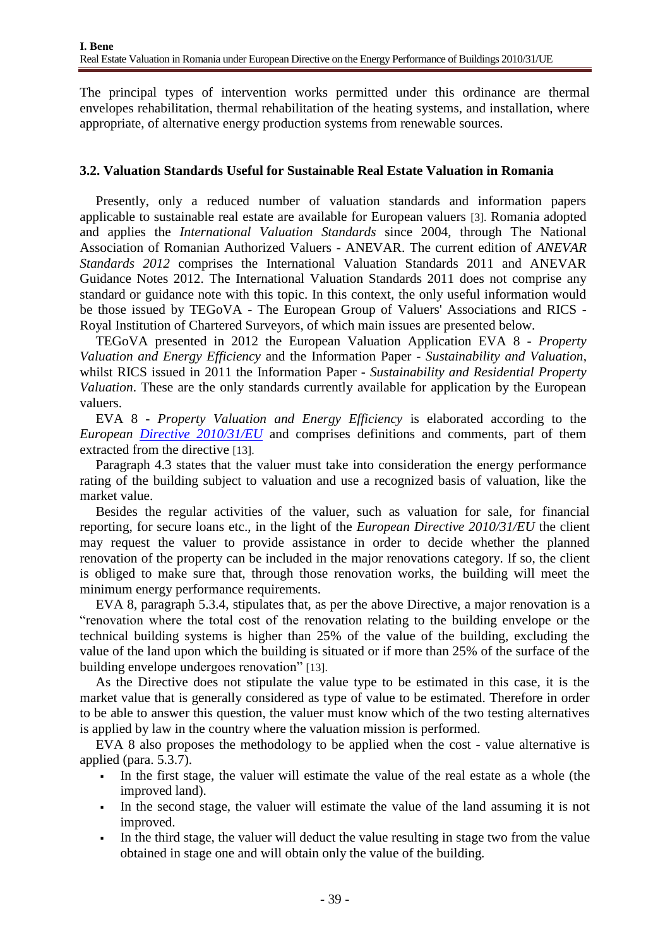The principal types of intervention works permitted under this ordinance are thermal envelopes rehabilitation, thermal rehabilitation of the heating systems, and installation, where appropriate, of alternative energy production systems from renewable sources.

## **3.2. Valuation Standards Useful for Sustainable Real Estate Valuation in Romania**

Presently, only a reduced number of valuation standards and information papers applicable to sustainable real estate are available for European valuers [3]. Romania adopted and applies the *International Valuation Standards* since 2004, through The National Association of Romanian Authorized Valuers - ANEVAR. The current edition of *ANEVAR Standards 2012* comprises the International Valuation Standards 2011 and ANEVAR Guidance Notes 2012. The International Valuation Standards 2011 does not comprise any standard or guidance note with this topic. In this context, the only useful information would be those issued by TEGoVA - The European Group of Valuers' Associations and RICS - Royal Institution of Chartered Surveyors, of which main issues are presented below.

TEGoVA presented in 2012 the European Valuation Application EVA 8 - *Property Valuation and Energy Efficiency* and the Information Paper - *Sustainability and Valuation*, whilst RICS issued in 2011 the Information Paper - *Sustainability and Residential Property Valuation*. These are the only standards currently available for application by the European valuers.

EVA 8 - *Property Valuation and Energy Efficiency* is elaborated according to the *European <u>[Directive 2010/31/EU](http://eur-lex.europa.eu/LexUriServ/LexUriServ.do?uri=OJ:L:2010:153:0013:01:RO:HTML)</u>* and comprises definitions and comments, part of them extracted from the directive [13].

Paragraph 4.3 states that the valuer must take into consideration the energy performance rating of the building subject to valuation and use a recognized basis of valuation, like the market value.

Besides the regular activities of the valuer, such as valuation for sale, for financial reporting, for secure loans etc., in the light of the *European Directive 2010/31/EU* the client may request the valuer to provide assistance in order to decide whether the planned renovation of the property can be included in the major renovations category. If so, the client is obliged to make sure that, through those renovation works, the building will meet the minimum energy performance requirements.

EVA 8, paragraph 5.3.4, stipulates that, as per the above Directive, a major renovation is a "renovation where the total cost of the renovation relating to the building envelope or the technical building systems is higher than 25% of the value of the building, excluding the value of the land upon which the building is situated or if more than 25% of the surface of the building envelope undergoes renovation" [13].

As the Directive does not stipulate the value type to be estimated in this case, it is the market value that is generally considered as type of value to be estimated. Therefore in order to be able to answer this question, the valuer must know which of the two testing alternatives is applied by law in the country where the valuation mission is performed.

EVA 8 also proposes the methodology to be applied when the cost - value alternative is applied (para. 5.3.7).

- In the first stage, the valuer will estimate the value of the real estate as a whole (the improved land).
- In the second stage, the valuer will estimate the value of the land assuming it is not improved.
- In the third stage, the valuer will deduct the value resulting in stage two from the value obtained in stage one and will obtain only the value of the building*.*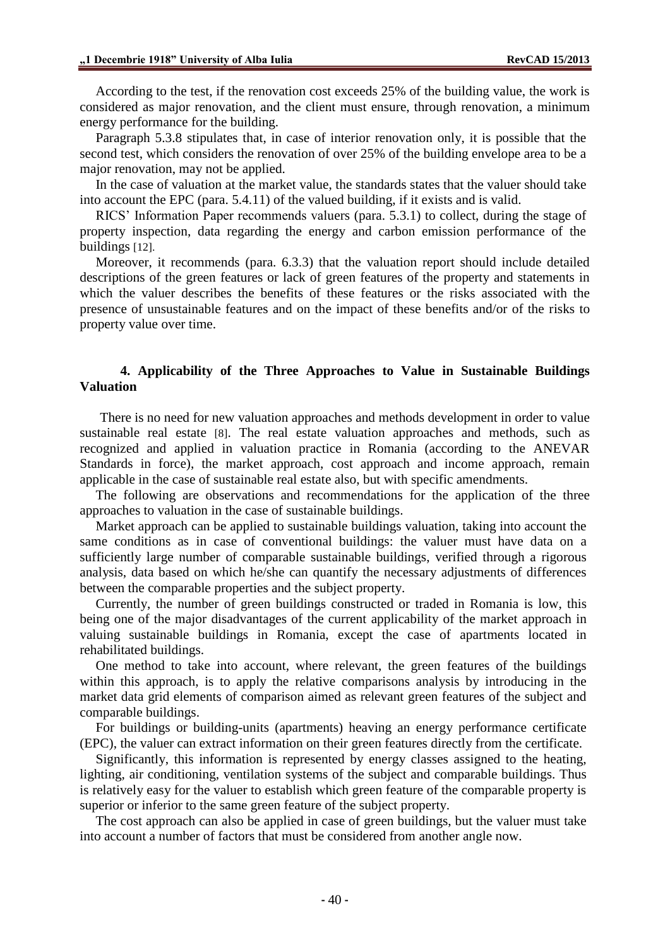According to the test, if the renovation cost exceeds 25% of the building value, the work is considered as major renovation, and the client must ensure, through renovation, a minimum energy performance for the building.

Paragraph 5.3.8 stipulates that, in case of interior renovation only, it is possible that the second test, which considers the renovation of over 25% of the building envelope area to be a major renovation, may not be applied.

In the case of valuation at the market value, the standards states that the valuer should take into account the EPC (para. 5.4.11) of the valued building, if it exists and is valid.

RICS' Information Paper recommends valuers (para. 5.3.1) to collect, during the stage of property inspection, data regarding the energy and carbon emission performance of the buildings [12].

Moreover, it recommends (para. 6.3.3) that the valuation report should include detailed descriptions of the green features or lack of green features of the property and statements in which the valuer describes the benefits of these features or the risks associated with the presence of unsustainable features and on the impact of these benefits and/or of the risks to property value over time.

### **4. Applicability of the Three Approaches to Value in Sustainable Buildings Valuation**

There is no need for new valuation approaches and methods development in order to value sustainable real estate [8]. The real estate valuation approaches and methods, such as recognized and applied in valuation practice in Romania (according to the ANEVAR Standards in force), the market approach, cost approach and income approach, remain applicable in the case of sustainable real estate also, but with specific amendments.

The following are observations and recommendations for the application of the three approaches to valuation in the case of sustainable buildings.

Market approach can be applied to sustainable buildings valuation, taking into account the same conditions as in case of conventional buildings: the valuer must have data on a sufficiently large number of comparable sustainable buildings, verified through a rigorous analysis, data based on which he/she can quantify the necessary adjustments of differences between the comparable properties and the subject property.

Currently, the number of green buildings constructed or traded in Romania is low, this being one of the major disadvantages of the current applicability of the market approach in valuing sustainable buildings in Romania, except the case of apartments located in rehabilitated buildings.

One method to take into account, where relevant, the green features of the buildings within this approach, is to apply the relative comparisons analysis by introducing in the market data grid elements of comparison aimed as relevant green features of the subject and comparable buildings.

For buildings or building-units (apartments) heaving an energy performance certificate (EPC), the valuer can extract information on their green features directly from the certificate.

Significantly, this information is represented by energy classes assigned to the heating, lighting, air conditioning, ventilation systems of the subject and comparable buildings. Thus is relatively easy for the valuer to establish which green feature of the comparable property is superior or inferior to the same green feature of the subject property.

The cost approach can also be applied in case of green buildings, but the valuer must take into account a number of factors that must be considered from another angle now.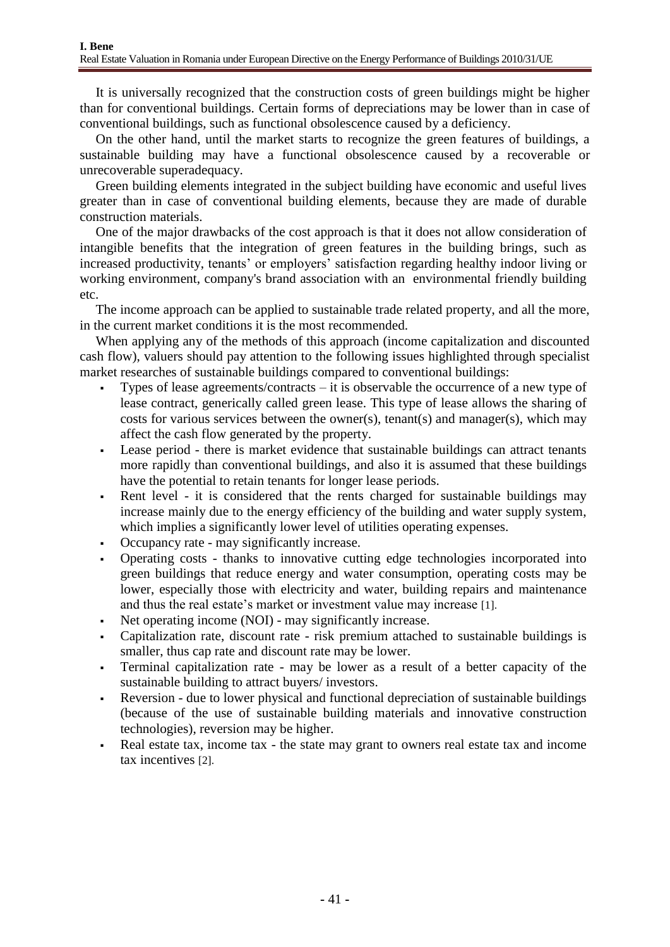It is universally recognized that the construction costs of green buildings might be higher than for conventional buildings. Certain forms of depreciations may be lower than in case of conventional buildings, such as functional obsolescence caused by a deficiency.

On the other hand, until the market starts to recognize the green features of buildings, a sustainable building may have a functional obsolescence caused by a recoverable or unrecoverable superadequacy.

Green building elements integrated in the subject building have economic and useful lives greater than in case of conventional building elements, because they are made of durable construction materials.

One of the major drawbacks of the cost approach is that it does not allow consideration of intangible benefits that the integration of green features in the building brings, such as increased productivity, tenants' or employers' satisfaction regarding healthy indoor living or working environment, company's brand association with an environmental friendly building etc.

The income approach can be applied to sustainable trade related property, and all the more, in the current market conditions it is the most recommended.

When applying any of the methods of this approach (income capitalization and discounted cash flow), valuers should pay attention to the following issues highlighted through specialist market researches of sustainable buildings compared to conventional buildings:

- Types of lease agreements/contracts it is observable the occurrence of a new type of lease contract, generically called green lease. This type of lease allows the sharing of costs for various services between the owner(s), tenant(s) and manager(s), which may affect the cash flow generated by the property.
- Lease period there is market evidence that sustainable buildings can attract tenants more rapidly than conventional buildings, and also it is assumed that these buildings have the potential to retain tenants for longer lease periods.
- Rent level it is considered that the rents charged for sustainable buildings may increase mainly due to the energy efficiency of the building and water supply system, which implies a significantly lower level of utilities operating expenses.
- Occupancy rate may significantly increase.
- Operating costs thanks to innovative cutting edge technologies incorporated into green buildings that reduce energy and water consumption, operating costs may be lower, especially those with electricity and water, building repairs and maintenance and thus the real estate's market or investment value may increase [1].
- Net operating income (NOI) may significantly increase.
- Capitalization rate, discount rate risk premium attached to sustainable buildings is smaller, thus cap rate and discount rate may be lower.
- Terminal capitalization rate may be lower as a result of a better capacity of the sustainable building to attract buyers/ investors.
- Reversion due to lower physical and functional depreciation of sustainable buildings (because of the use of sustainable building materials and innovative construction technologies), reversion may be higher.
- Real estate tax, income tax the state may grant to owners real estate tax and income tax incentives [2].